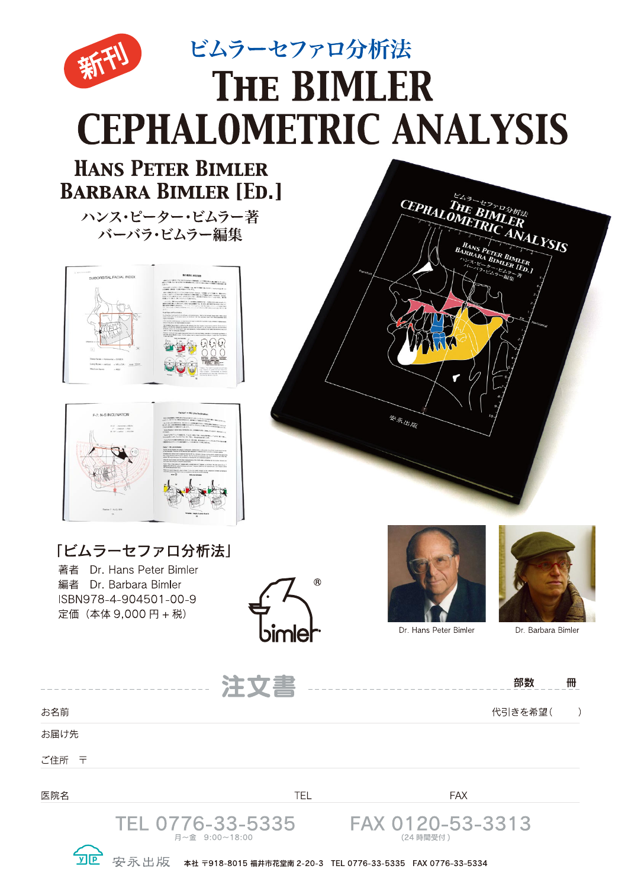